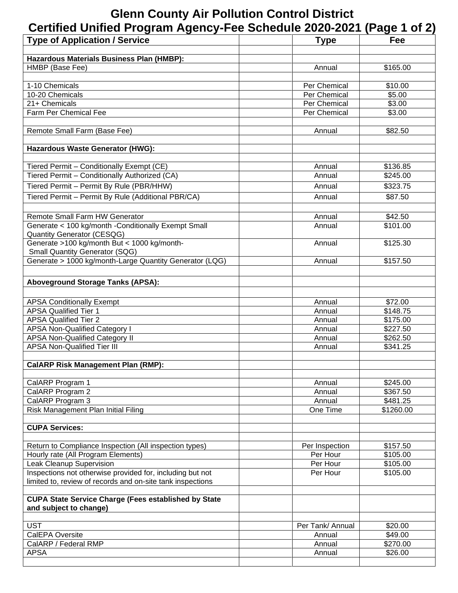## **Glenn County Air Pollution Control District**

| Certified Unified Program Agency-Fee Schedule 2020-2021 (Page 1 of 2)                    |                      |                      |
|------------------------------------------------------------------------------------------|----------------------|----------------------|
| <b>Type of Application / Service</b>                                                     | <b>Type</b>          | Fee                  |
|                                                                                          |                      |                      |
| Hazardous Materials Business Plan (HMBP):                                                |                      |                      |
| HMBP (Base Fee)                                                                          | Annual               | \$165.00             |
| 1-10 Chemicals                                                                           | Per Chemical         | \$10.00              |
| 10-20 Chemicals                                                                          | Per Chemical         | \$5.00               |
| 21+ Chemicals                                                                            | Per Chemical         | \$3.00               |
| Farm Per Chemical Fee                                                                    | Per Chemical         | \$3.00               |
|                                                                                          |                      |                      |
| Remote Small Farm (Base Fee)                                                             | Annual               | \$82.50              |
| Hazardous Waste Generator (HWG):                                                         |                      |                      |
| Tiered Permit - Conditionally Exempt (CE)                                                | Annual               | \$136.85             |
| Tiered Permit - Conditionally Authorized (CA)                                            | Annual               | \$245.00             |
| Tiered Permit - Permit By Rule (PBR/HHW)                                                 | Annual               | \$323.75             |
| Tiered Permit - Permit By Rule (Additional PBR/CA)                                       | Annual               | \$87.50              |
|                                                                                          |                      |                      |
| Remote Small Farm HW Generator                                                           | Annual               | \$42.50              |
| Generate < 100 kg/month -Conditionally Exempt Small<br><b>Quantity Generator (CESQG)</b> | Annual               | \$101.00             |
| Generate >100 kg/month But < 1000 kg/month-                                              | Annual               | \$125.30             |
| <b>Small Quantity Generator (SQG)</b>                                                    |                      |                      |
| Generate > 1000 kg/month-Large Quantity Generator (LQG)                                  | Annual               | \$157.50             |
|                                                                                          |                      |                      |
| <b>Aboveground Storage Tanks (APSA):</b>                                                 |                      |                      |
| <b>APSA Conditionally Exempt</b>                                                         | Annual               | \$72.00              |
| <b>APSA Qualified Tier 1</b>                                                             | Annual               | \$148.75             |
| <b>APSA Qualified Tier 2</b>                                                             | Annual               | \$175.00             |
| <b>APSA Non-Qualified Category I</b>                                                     | Annual               | \$227.50             |
| <b>APSA Non-Qualified Category II</b>                                                    | Annual               | \$262.50             |
| <b>APSA Non-Qualified Tier III</b>                                                       | Annual               | \$341.25             |
|                                                                                          |                      |                      |
| <b>CalARP Risk Management Plan (RMP):</b>                                                |                      |                      |
| CalARP Program 1                                                                         | Annual               | \$245.00             |
| CalARP Program 2                                                                         | Annual               | \$367.50             |
| CalARP Program 3                                                                         | Annual               | \$481.25             |
| Risk Management Plan Initial Filing                                                      | One Time             | \$1260.00            |
| <b>CUPA Services:</b>                                                                    |                      |                      |
|                                                                                          |                      |                      |
| Return to Compliance Inspection (All inspection types)                                   | Per Inspection       | \$157.50             |
| Hourly rate (All Program Elements)<br><b>Leak Cleanup Supervision</b>                    | Per Hour<br>Per Hour | \$105.00<br>\$105.00 |
| Inspections not otherwise provided for, including but not                                | Per Hour             | \$105.00             |
| limited to, review of records and on-site tank inspections                               |                      |                      |
| <b>CUPA State Service Charge (Fees established by State</b>                              |                      |                      |
| and subject to change)                                                                   |                      |                      |
|                                                                                          |                      |                      |
| <b>UST</b>                                                                               | Per Tank/ Annual     | \$20.00              |
| CalEPA Oversite                                                                          | Annual               | \$49.00              |
| CalARP / Federal RMP<br><b>APSA</b>                                                      | Annual<br>Annual     | \$270.00<br>\$26.00  |
|                                                                                          |                      |                      |